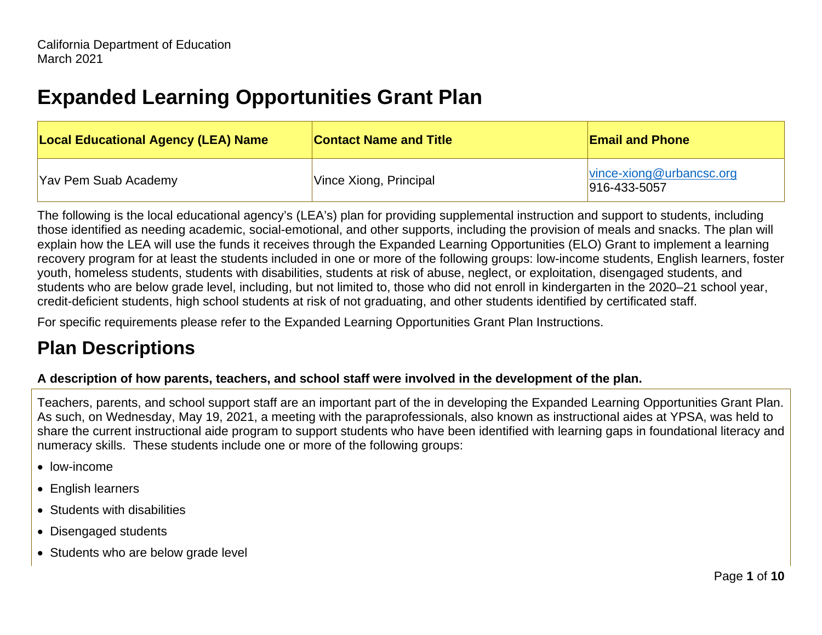# **Expanded Learning Opportunities Grant Plan**

| <b>Local Educational Agency (LEA) Name</b> | <b>Contact Name and Title</b> | <b>Email and Phone</b>                           |
|--------------------------------------------|-------------------------------|--------------------------------------------------|
| Yav Pem Suab Academy                       | Vince Xiong, Principal        | vince-xiong@urbancsc.org<br>$ 916 - 433 - 5057 $ |

The following is the local educational agency's (LEA's) plan for providing supplemental instruction and support to students, including those identified as needing academic, social-emotional, and other supports, including the provision of meals and snacks. The plan will explain how the LEA will use the funds it receives through the Expanded Learning Opportunities (ELO) Grant to implement a learning recovery program for at least the students included in one or more of the following groups: low-income students, English learners, foster youth, homeless students, students with disabilities, students at risk of abuse, neglect, or exploitation, disengaged students, and students who are below grade level, including, but not limited to, those who did not enroll in kindergarten in the 2020–21 school year, credit-deficient students, high school students at risk of not graduating, and other students identified by certificated staff.

For specific requirements please refer to the Expanded Learning Opportunities Grant Plan Instructions.

## **Plan Descriptions**

#### **A description of how parents, teachers, and school staff were involved in the development of the plan.**

Teachers, parents, and school support staff are an important part of the in developing the Expanded Learning Opportunities Grant Plan. As such, on Wednesday, May 19, 2021, a meeting with the paraprofessionals, also known as instructional aides at YPSA, was held to share the current instructional aide program to support students who have been identified with learning gaps in foundational literacy and numeracy skills. These students include one or more of the following groups:

- low-income
- English learners
- Students with disabilities
- Disengaged students
- Students who are below grade level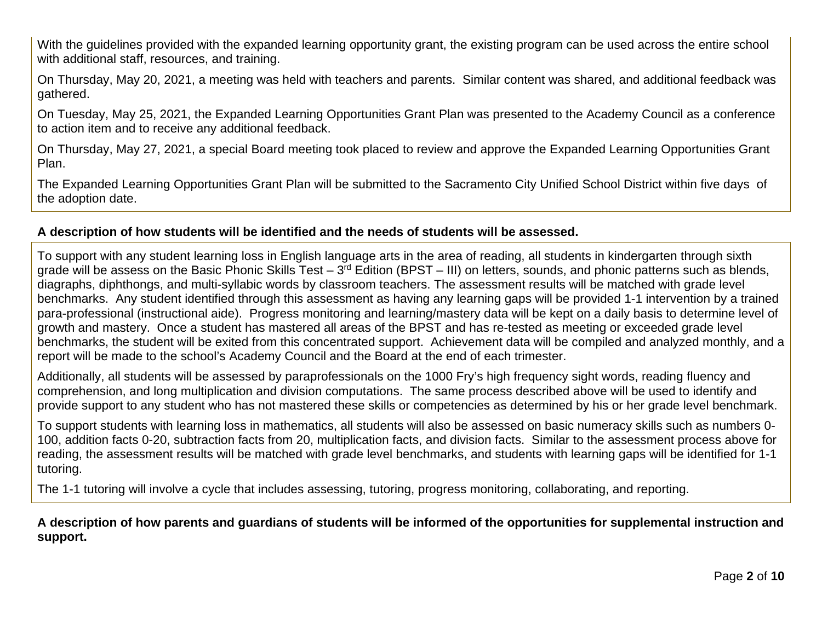With the guidelines provided with the expanded learning opportunity grant, the existing program can be used across the entire school with additional staff, resources, and training.

On Thursday, May 20, 2021, a meeting was held with teachers and parents. Similar content was shared, and additional feedback was gathered.

On Tuesday, May 25, 2021, the Expanded Learning Opportunities Grant Plan was presented to the Academy Council as a conference to action item and to receive any additional feedback.

On Thursday, May 27, 2021, a special Board meeting took placed to review and approve the Expanded Learning Opportunities Grant Plan.

The Expanded Learning Opportunities Grant Plan will be submitted to the Sacramento City Unified School District within five days of the adoption date.

#### **A description of how students will be identified and the needs of students will be assessed.**

To support with any student learning loss in English language arts in the area of reading, all students in kindergarten through sixth grade will be assess on the Basic Phonic Skills Test –  $3<sup>rd</sup>$  Edition (BPST – III) on letters, sounds, and phonic patterns such as blends, diagraphs, diphthongs, and multi-syllabic words by classroom teachers. The assessment results will be matched with grade level benchmarks. Any student identified through this assessment as having any learning gaps will be provided 1-1 intervention by a trained para-professional (instructional aide). Progress monitoring and learning/mastery data will be kept on a daily basis to determine level of growth and mastery. Once a student has mastered all areas of the BPST and has re-tested as meeting or exceeded grade level benchmarks, the student will be exited from this concentrated support. Achievement data will be compiled and analyzed monthly, and a report will be made to the school's Academy Council and the Board at the end of each trimester.

Additionally, all students will be assessed by paraprofessionals on the 1000 Fry's high frequency sight words, reading fluency and comprehension, and long multiplication and division computations. The same process described above will be used to identify and provide support to any student who has not mastered these skills or competencies as determined by his or her grade level benchmark.

To support students with learning loss in mathematics, all students will also be assessed on basic numeracy skills such as numbers 0- 100, addition facts 0-20, subtraction facts from 20, multiplication facts, and division facts. Similar to the assessment process above for reading, the assessment results will be matched with grade level benchmarks, and students with learning gaps will be identified for 1-1 tutoring.

The 1-1 tutoring will involve a cycle that includes assessing, tutoring, progress monitoring, collaborating, and reporting.

**A description of how parents and guardians of students will be informed of the opportunities for supplemental instruction and support.**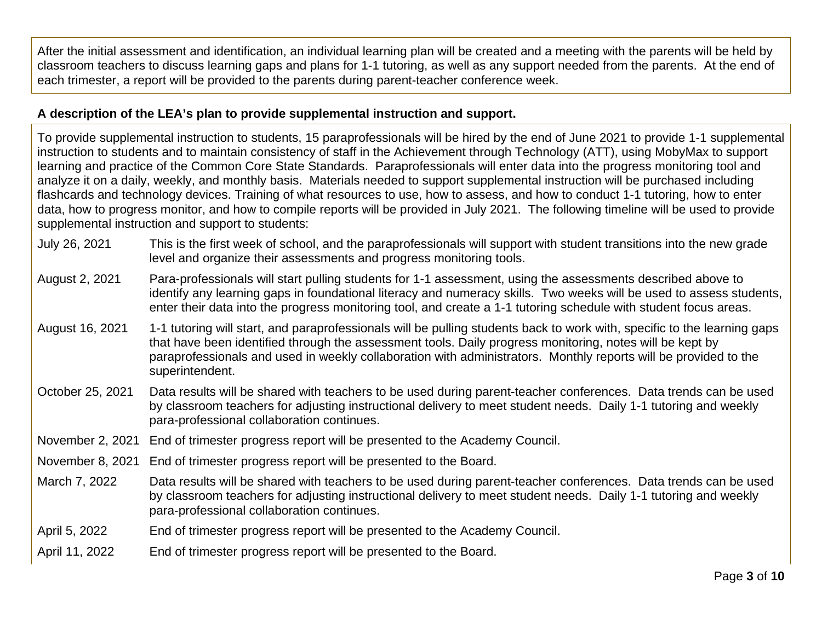After the initial assessment and identification, an individual learning plan will be created and a meeting with the parents will be held by classroom teachers to discuss learning gaps and plans for 1-1 tutoring, as well as any support needed from the parents. At the end of each trimester, a report will be provided to the parents during parent-teacher conference week.

#### **A description of the LEA's plan to provide supplemental instruction and support.**

To provide supplemental instruction to students, 15 paraprofessionals will be hired by the end of June 2021 to provide 1-1 supplemental instruction to students and to maintain consistency of staff in the Achievement through Technology (ATT), using MobyMax to support learning and practice of the Common Core State Standards. Paraprofessionals will enter data into the progress monitoring tool and analyze it on a daily, weekly, and monthly basis. Materials needed to support supplemental instruction will be purchased including flashcards and technology devices. Training of what resources to use, how to assess, and how to conduct 1-1 tutoring, how to enter data, how to progress monitor, and how to compile reports will be provided in July 2021. The following timeline will be used to provide supplemental instruction and support to students:

- July 26, 2021 This is the first week of school, and the paraprofessionals will support with student transitions into the new grade level and organize their assessments and progress monitoring tools.
- August 2, 2021 Para-professionals will start pulling students for 1-1 assessment, using the assessments described above to identify any learning gaps in foundational literacy and numeracy skills. Two weeks will be used to assess students, enter their data into the progress monitoring tool, and create a 1-1 tutoring schedule with student focus areas.
- August 16, 2021 1-1 tutoring will start, and paraprofessionals will be pulling students back to work with, specific to the learning gaps that have been identified through the assessment tools. Daily progress monitoring, notes will be kept by paraprofessionals and used in weekly collaboration with administrators. Monthly reports will be provided to the superintendent.
- October 25, 2021 Data results will be shared with teachers to be used during parent-teacher conferences. Data trends can be used by classroom teachers for adjusting instructional delivery to meet student needs. Daily 1-1 tutoring and weekly para-professional collaboration continues.
- November 2, 2021 End of trimester progress report will be presented to the Academy Council.
- November 8, 2021 End of trimester progress report will be presented to the Board.
- March 7, 2022 Data results will be shared with teachers to be used during parent-teacher conferences. Data trends can be used by classroom teachers for adjusting instructional delivery to meet student needs. Daily 1-1 tutoring and weekly para-professional collaboration continues.
- April 5, 2022 End of trimester progress report will be presented to the Academy Council.
- April 11, 2022 End of trimester progress report will be presented to the Board.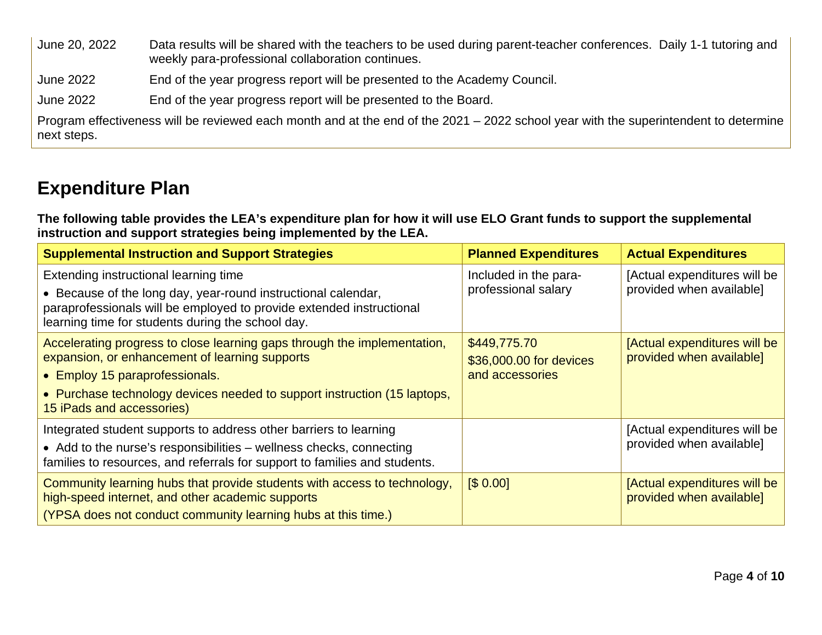June 20, 2022 Data results will be shared with the teachers to be used during parent-teacher conferences. Daily 1-1 tutoring and weekly para-professional collaboration continues.

June 2022 End of the year progress report will be presented to the Academy Council.

June 2022 End of the year progress report will be presented to the Board.

Program effectiveness will be reviewed each month and at the end of the 2021 – 2022 school year with the superintendent to determine next steps.

## **Expenditure Plan**

**The following table provides the LEA's expenditure plan for how it will use ELO Grant funds to support the supplemental instruction and support strategies being implemented by the LEA.**

| <b>Supplemental Instruction and Support Strategies</b>                                                                                                                                                                                                                | <b>Planned Expenditures</b>                                | <b>Actual Expenditures</b>                               |
|-----------------------------------------------------------------------------------------------------------------------------------------------------------------------------------------------------------------------------------------------------------------------|------------------------------------------------------------|----------------------------------------------------------|
| Extending instructional learning time<br>• Because of the long day, year-round instructional calendar,<br>paraprofessionals will be employed to provide extended instructional<br>learning time for students during the school day.                                   | Included in the para-<br>professional salary               | [Actual expenditures will be<br>provided when available] |
| Accelerating progress to close learning gaps through the implementation,<br>expansion, or enhancement of learning supports<br>• Employ 15 paraprofessionals.<br>• Purchase technology devices needed to support instruction (15 laptops,<br>15 iPads and accessories) | \$449,775.70<br>\$36,000.00 for devices<br>and accessories | [Actual expenditures will be<br>provided when available] |
| Integrated student supports to address other barriers to learning<br>• Add to the nurse's responsibilities – wellness checks, connecting<br>families to resources, and referrals for support to families and students.                                                |                                                            | [Actual expenditures will be<br>provided when available] |
| Community learning hubs that provide students with access to technology,<br>high-speed internet, and other academic supports<br>(YPSA does not conduct community learning hubs at this time.)                                                                         | \$0.00]                                                    | [Actual expenditures will be<br>provided when available] |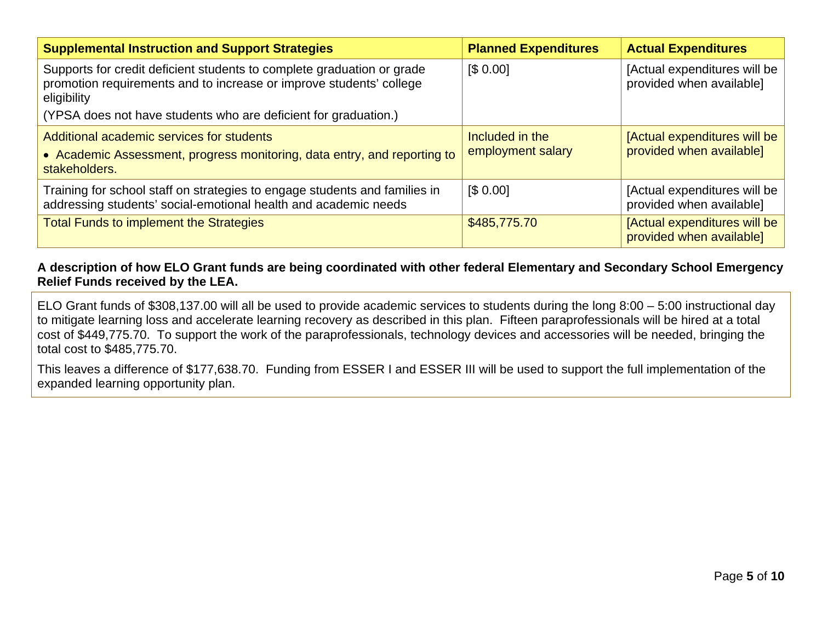| <b>Supplemental Instruction and Support Strategies</b>                                                                                                       | <b>Planned Expenditures</b>          | <b>Actual Expenditures</b>                               |
|--------------------------------------------------------------------------------------------------------------------------------------------------------------|--------------------------------------|----------------------------------------------------------|
| Supports for credit deficient students to complete graduation or grade<br>promotion requirements and to increase or improve students' college<br>eligibility | [\$0.00]                             | [Actual expenditures will be<br>provided when available] |
| (YPSA does not have students who are deficient for graduation.)                                                                                              |                                      |                                                          |
| Additional academic services for students<br>• Academic Assessment, progress monitoring, data entry, and reporting to<br>stakeholders.                       | Included in the<br>employment salary | [Actual expenditures will be<br>provided when available] |
| Training for school staff on strategies to engage students and families in<br>addressing students' social-emotional health and academic needs                | \$0.00]                              | [Actual expenditures will be<br>provided when available] |
| <b>Total Funds to implement the Strategies</b>                                                                                                               | \$485,775.70                         | [Actual expenditures will be<br>provided when available] |

#### **A description of how ELO Grant funds are being coordinated with other federal Elementary and Secondary School Emergency Relief Funds received by the LEA.**

ELO Grant funds of \$308,137.00 will all be used to provide academic services to students during the long 8:00 – 5:00 instructional day to mitigate learning loss and accelerate learning recovery as described in this plan. Fifteen paraprofessionals will be hired at a total cost of \$449,775.70. To support the work of the paraprofessionals, technology devices and accessories will be needed, bringing the total cost to \$485,775.70.

This leaves a difference of \$177,638.70. Funding from ESSER I and ESSER III will be used to support the full implementation of the expanded learning opportunity plan.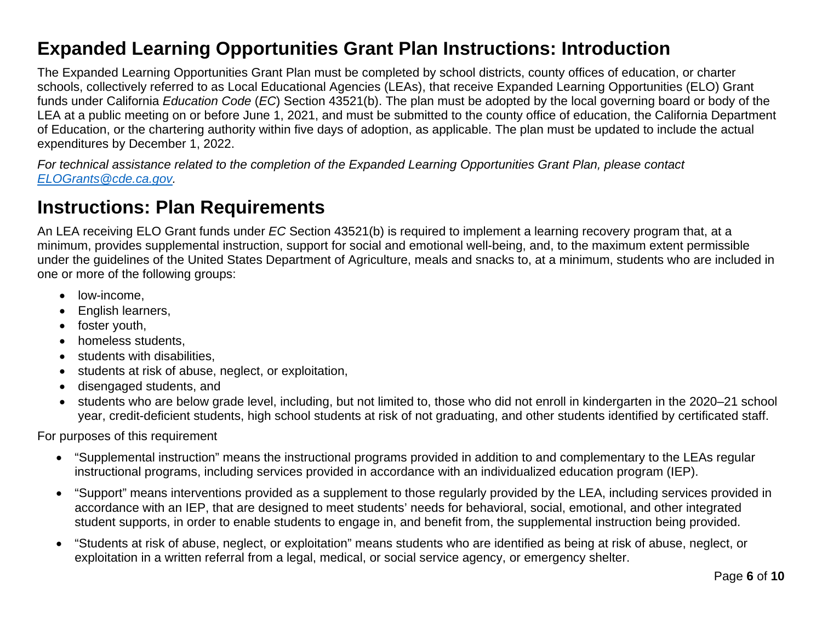## **Expanded Learning Opportunities Grant Plan Instructions: Introduction**

The Expanded Learning Opportunities Grant Plan must be completed by school districts, county offices of education, or charter schools, collectively referred to as Local Educational Agencies (LEAs), that receive Expanded Learning Opportunities (ELO) Grant funds under California *Education Code* (*EC*) Section 43521(b). The plan must be adopted by the local governing board or body of the LEA at a public meeting on or before June 1, 2021, and must be submitted to the county office of education, the California Department of Education, or the chartering authority within five days of adoption, as applicable. The plan must be updated to include the actual expenditures by December 1, 2022.

*For technical assistance related to the completion of the Expanded Learning Opportunities Grant Plan, please contact [ELOGrants@cde.ca.gov.](mailto:ELOGrants@cde.ca.gov)*

## **Instructions: Plan Requirements**

An LEA receiving ELO Grant funds under *EC* Section 43521(b) is required to implement a learning recovery program that, at a minimum, provides supplemental instruction, support for social and emotional well-being, and, to the maximum extent permissible under the guidelines of the United States Department of Agriculture, meals and snacks to, at a minimum, students who are included in one or more of the following groups:

- low-income.
- English learners,
- foster youth,
- homeless students,
- students with disabilities,
- students at risk of abuse, neglect, or exploitation,
- disengaged students, and
- students who are below grade level, including, but not limited to, those who did not enroll in kindergarten in the 2020–21 school year, credit-deficient students, high school students at risk of not graduating, and other students identified by certificated staff.

For purposes of this requirement

- "Supplemental instruction" means the instructional programs provided in addition to and complementary to the LEAs regular instructional programs, including services provided in accordance with an individualized education program (IEP).
- "Support" means interventions provided as a supplement to those regularly provided by the LEA, including services provided in accordance with an IEP, that are designed to meet students' needs for behavioral, social, emotional, and other integrated student supports, in order to enable students to engage in, and benefit from, the supplemental instruction being provided.
- "Students at risk of abuse, neglect, or exploitation" means students who are identified as being at risk of abuse, neglect, or exploitation in a written referral from a legal, medical, or social service agency, or emergency shelter.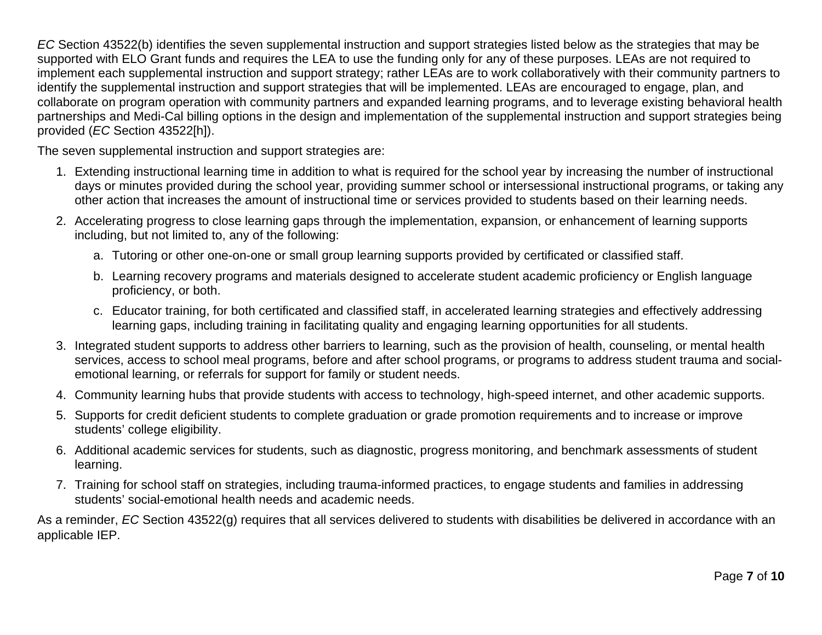*EC* Section 43522(b) identifies the seven supplemental instruction and support strategies listed below as the strategies that may be supported with ELO Grant funds and requires the LEA to use the funding only for any of these purposes. LEAs are not required to implement each supplemental instruction and support strategy; rather LEAs are to work collaboratively with their community partners to identify the supplemental instruction and support strategies that will be implemented. LEAs are encouraged to engage, plan, and collaborate on program operation with community partners and expanded learning programs, and to leverage existing behavioral health partnerships and Medi-Cal billing options in the design and implementation of the supplemental instruction and support strategies being provided (*EC* Section 43522[h]).

The seven supplemental instruction and support strategies are:

- 1. Extending instructional learning time in addition to what is required for the school year by increasing the number of instructional days or minutes provided during the school year, providing summer school or intersessional instructional programs, or taking any other action that increases the amount of instructional time or services provided to students based on their learning needs.
- 2. Accelerating progress to close learning gaps through the implementation, expansion, or enhancement of learning supports including, but not limited to, any of the following:
	- a. Tutoring or other one-on-one or small group learning supports provided by certificated or classified staff.
	- b. Learning recovery programs and materials designed to accelerate student academic proficiency or English language proficiency, or both.
	- c. Educator training, for both certificated and classified staff, in accelerated learning strategies and effectively addressing learning gaps, including training in facilitating quality and engaging learning opportunities for all students.
- 3. Integrated student supports to address other barriers to learning, such as the provision of health, counseling, or mental health services, access to school meal programs, before and after school programs, or programs to address student trauma and socialemotional learning, or referrals for support for family or student needs.
- 4. Community learning hubs that provide students with access to technology, high-speed internet, and other academic supports.
- 5. Supports for credit deficient students to complete graduation or grade promotion requirements and to increase or improve students' college eligibility.
- 6. Additional academic services for students, such as diagnostic, progress monitoring, and benchmark assessments of student learning.
- 7. Training for school staff on strategies, including trauma-informed practices, to engage students and families in addressing students' social-emotional health needs and academic needs.

As a reminder, *EC* Section 43522(g) requires that all services delivered to students with disabilities be delivered in accordance with an applicable IEP.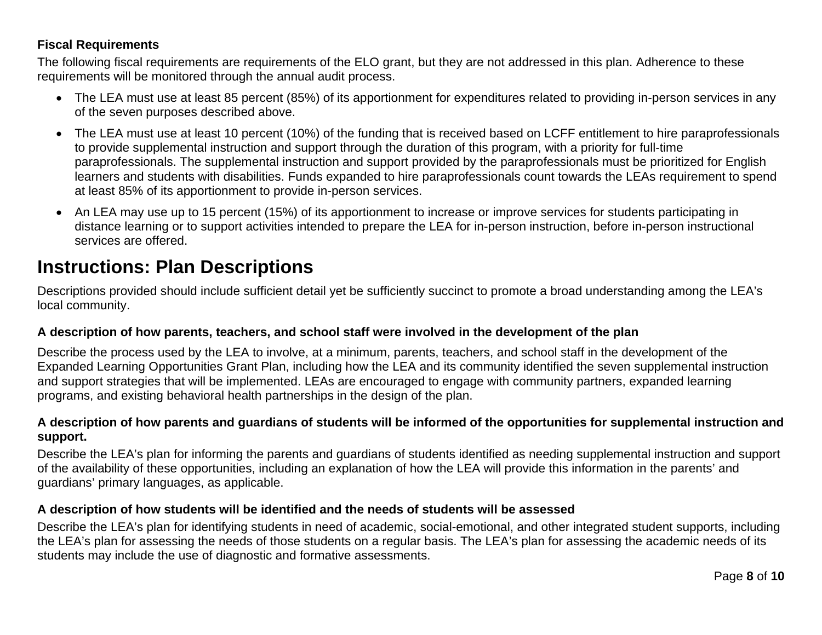#### **Fiscal Requirements**

The following fiscal requirements are requirements of the ELO grant, but they are not addressed in this plan. Adherence to these requirements will be monitored through the annual audit process.

- The LEA must use at least 85 percent (85%) of its apportionment for expenditures related to providing in-person services in any of the seven purposes described above.
- The LEA must use at least 10 percent (10%) of the funding that is received based on LCFF entitlement to hire paraprofessionals to provide supplemental instruction and support through the duration of this program, with a priority for full-time paraprofessionals. The supplemental instruction and support provided by the paraprofessionals must be prioritized for English learners and students with disabilities. Funds expanded to hire paraprofessionals count towards the LEAs requirement to spend at least 85% of its apportionment to provide in-person services.
- An LEA may use up to 15 percent (15%) of its apportionment to increase or improve services for students participating in distance learning or to support activities intended to prepare the LEA for in-person instruction, before in-person instructional services are offered.

### **Instructions: Plan Descriptions**

Descriptions provided should include sufficient detail yet be sufficiently succinct to promote a broad understanding among the LEA's local community.

#### **A description of how parents, teachers, and school staff were involved in the development of the plan**

Describe the process used by the LEA to involve, at a minimum, parents, teachers, and school staff in the development of the Expanded Learning Opportunities Grant Plan, including how the LEA and its community identified the seven supplemental instruction and support strategies that will be implemented. LEAs are encouraged to engage with community partners, expanded learning programs, and existing behavioral health partnerships in the design of the plan.

#### **A description of how parents and guardians of students will be informed of the opportunities for supplemental instruction and support.**

Describe the LEA's plan for informing the parents and guardians of students identified as needing supplemental instruction and support of the availability of these opportunities, including an explanation of how the LEA will provide this information in the parents' and guardians' primary languages, as applicable.

#### **A description of how students will be identified and the needs of students will be assessed**

Describe the LEA's plan for identifying students in need of academic, social-emotional, and other integrated student supports, including the LEA's plan for assessing the needs of those students on a regular basis. The LEA's plan for assessing the academic needs of its students may include the use of diagnostic and formative assessments.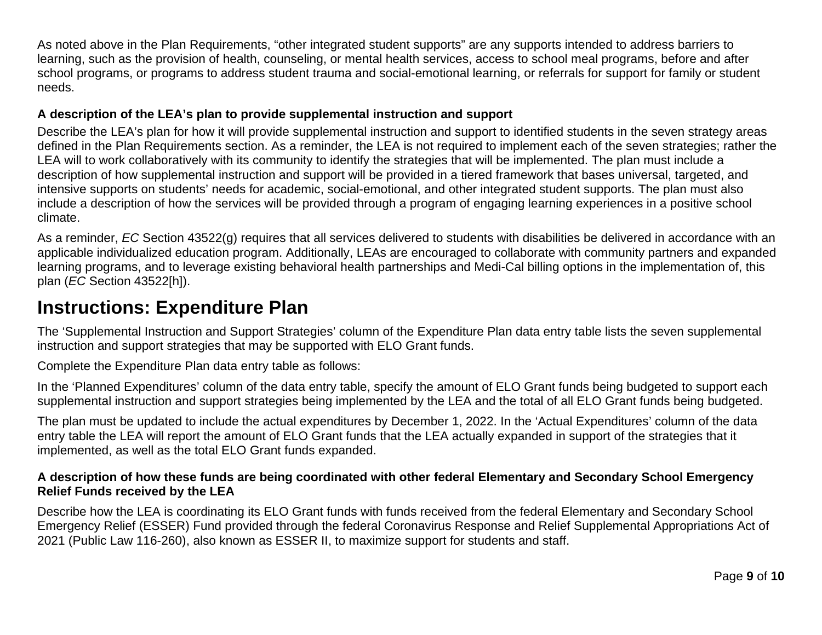As noted above in the Plan Requirements, "other integrated student supports" are any supports intended to address barriers to learning, such as the provision of health, counseling, or mental health services, access to school meal programs, before and after school programs, or programs to address student trauma and social-emotional learning, or referrals for support for family or student needs.

#### **A description of the LEA's plan to provide supplemental instruction and support**

Describe the LEA's plan for how it will provide supplemental instruction and support to identified students in the seven strategy areas defined in the Plan Requirements section. As a reminder, the LEA is not required to implement each of the seven strategies; rather the LEA will to work collaboratively with its community to identify the strategies that will be implemented. The plan must include a description of how supplemental instruction and support will be provided in a tiered framework that bases universal, targeted, and intensive supports on students' needs for academic, social-emotional, and other integrated student supports. The plan must also include a description of how the services will be provided through a program of engaging learning experiences in a positive school climate.

As a reminder, *EC* Section 43522(g) requires that all services delivered to students with disabilities be delivered in accordance with an applicable individualized education program. Additionally, LEAs are encouraged to collaborate with community partners and expanded learning programs, and to leverage existing behavioral health partnerships and Medi-Cal billing options in the implementation of, this plan (*EC* Section 43522[h]).

## **Instructions: Expenditure Plan**

The 'Supplemental Instruction and Support Strategies' column of the Expenditure Plan data entry table lists the seven supplemental instruction and support strategies that may be supported with ELO Grant funds.

Complete the Expenditure Plan data entry table as follows:

In the 'Planned Expenditures' column of the data entry table, specify the amount of ELO Grant funds being budgeted to support each supplemental instruction and support strategies being implemented by the LEA and the total of all ELO Grant funds being budgeted.

The plan must be updated to include the actual expenditures by December 1, 2022. In the 'Actual Expenditures' column of the data entry table the LEA will report the amount of ELO Grant funds that the LEA actually expanded in support of the strategies that it implemented, as well as the total ELO Grant funds expanded.

#### **A description of how these funds are being coordinated with other federal Elementary and Secondary School Emergency Relief Funds received by the LEA**

Describe how the LEA is coordinating its ELO Grant funds with funds received from the federal Elementary and Secondary School Emergency Relief (ESSER) Fund provided through the federal Coronavirus Response and Relief Supplemental Appropriations Act of 2021 (Public Law 116-260), also known as ESSER II, to maximize support for students and staff.